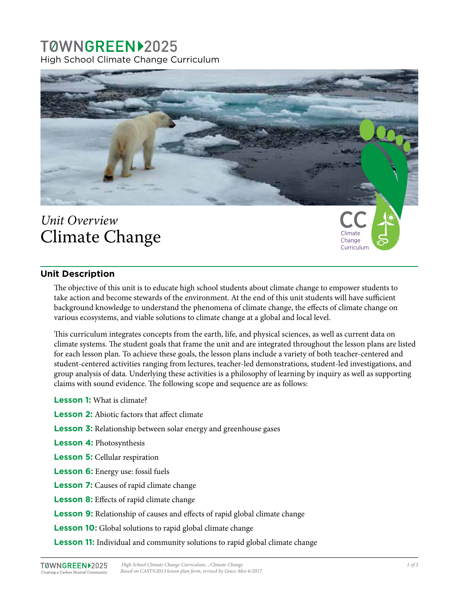## TØWNGREEN12025 High School Climate Change Curriculum



# *Unit Overview* Climate Change

### **Unit Description**

The objective of this unit is to educate high school students about climate change to empower students to take action and become stewards of the environment. At the end of this unit students will have sufficient background knowledge to understand the phenomena of climate change, the effects of climate change on various ecosystems, and viable solutions to climate change at a global and local level.

This curriculum integrates concepts from the earth, life, and physical sciences, as well as current data on climate systems. The student goals that frame the unit and are integrated throughout the lesson plans are listed for each lesson plan. To achieve these goals, the lesson plans include a variety of both teacher-centered and student-centered activities ranging from lectures, teacher-led demonstrations, student-led investigations, and group analysis of data. Underlying these activities is a philosophy of learning by inquiry as well as supporting claims with sound evidence. The following scope and sequence are as follows:

**Lesson 1:** What is climate?

- **Lesson 2:** Abiotic factors that affect climate
- **Lesson 3:** Relationship between solar energy and greenhouse gases
- **Lesson 4:** Photosynthesis
- **Lesson 5:** Cellular respiration
- **Lesson 6:** Energy use: fossil fuels
- **Lesson 7:** Causes of rapid climate change
- **Lesson 8:** Effects of rapid climate change
- **Lesson 9:** Relationship of causes and effects of rapid global climate change
- **Lesson 10:** Global solutions to rapid global climate change
- **Lesson 11:** Individual and community solutions to rapid global climate change

Climate Change Curriculum